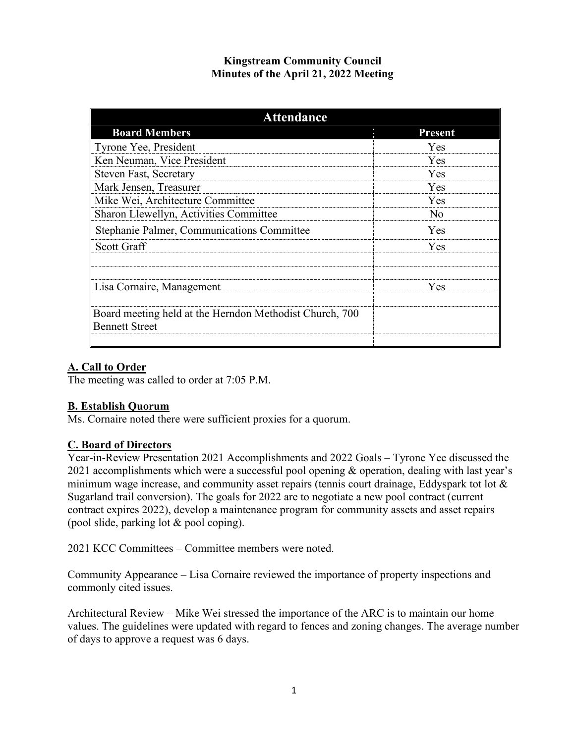## **Kingstream Community Council Minutes of the April 21, 2022 Meeting**

| <b>Attendance</b>                                                         |                         |
|---------------------------------------------------------------------------|-------------------------|
| <b>Board Members</b>                                                      | <b>Present</b>          |
| Tyrone Yee, President                                                     | <b>Yes</b>              |
| Ken Neuman, Vice President                                                | <b>Yes</b>              |
| <b>Steven Fast, Secretary</b>                                             | Yes                     |
| Mark Jensen, Treasurer                                                    | <b>Yes</b>              |
| Mike Wei, Architecture Committee                                          | <b>Yes</b>              |
| Sharon Llewellyn, Activities Committee                                    | $\overline{N}_{\Omega}$ |
| Stephanie Palmer, Communications Committee                                | <b>Yes</b>              |
| Scott Graff                                                               | <b>Yes</b>              |
|                                                                           |                         |
| Lisa Cornaire, Management                                                 | Yes                     |
|                                                                           |                         |
| Board meeting held at the Herndon Methodist Church, 700<br>Bennett Street |                         |
|                                                                           |                         |

# **A. Call to Order**

The meeting was called to order at 7:05 P.M.

## **B. Establish Quorum**

Ms. Cornaire noted there were sufficient proxies for a quorum.

## **C. Board of Directors**

Year-in-Review Presentation 2021 Accomplishments and 2022 Goals – Tyrone Yee discussed the 2021 accomplishments which were a successful pool opening & operation, dealing with last year's minimum wage increase, and community asset repairs (tennis court drainage, Eddyspark tot lot & Sugarland trail conversion). The goals for 2022 are to negotiate a new pool contract (current contract expires 2022), develop a maintenance program for community assets and asset repairs (pool slide, parking lot & pool coping).

2021 KCC Committees – Committee members were noted.

Community Appearance – Lisa Cornaire reviewed the importance of property inspections and commonly cited issues.

Architectural Review – Mike Wei stressed the importance of the ARC is to maintain our home values. The guidelines were updated with regard to fences and zoning changes. The average number of days to approve a request was 6 days.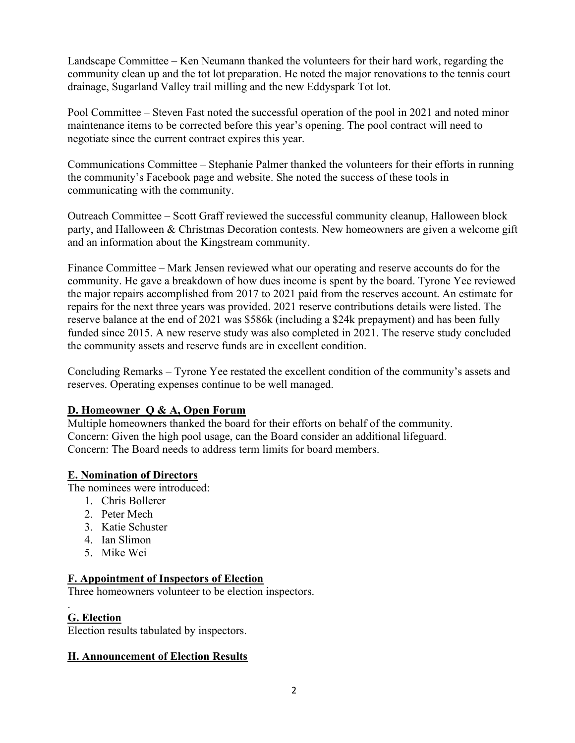Landscape Committee – Ken Neumann thanked the volunteers for their hard work, regarding the community clean up and the tot lot preparation. He noted the major renovations to the tennis court drainage, Sugarland Valley trail milling and the new Eddyspark Tot lot.

Pool Committee – Steven Fast noted the successful operation of the pool in 2021 and noted minor maintenance items to be corrected before this year's opening. The pool contract will need to negotiate since the current contract expires this year.

Communications Committee – Stephanie Palmer thanked the volunteers for their efforts in running the community's Facebook page and website. She noted the success of these tools in communicating with the community.

Outreach Committee – Scott Graff reviewed the successful community cleanup, Halloween block party, and Halloween & Christmas Decoration contests. New homeowners are given a welcome gift and an information about the Kingstream community.

Finance Committee – Mark Jensen reviewed what our operating and reserve accounts do for the community. He gave a breakdown of how dues income is spent by the board. Tyrone Yee reviewed the major repairs accomplished from 2017 to 2021 paid from the reserves account. An estimate for repairs for the next three years was provided. 2021 reserve contributions details were listed. The reserve balance at the end of 2021 was \$586k (including a \$24k prepayment) and has been fully funded since 2015. A new reserve study was also completed in 2021. The reserve study concluded the community assets and reserve funds are in excellent condition.

Concluding Remarks – Tyrone Yee restated the excellent condition of the community's assets and reserves. Operating expenses continue to be well managed.

## **D. Homeowner Q & A, Open Forum**

Multiple homeowners thanked the board for their efforts on behalf of the community. Concern: Given the high pool usage, can the Board consider an additional lifeguard. Concern: The Board needs to address term limits for board members.

## **E. Nomination of Directors**

The nominees were introduced:

- 1. Chris Bollerer
- 2. Peter Mech
- 3. Katie Schuster
- 4. Ian Slimon
- 5. Mike Wei

## **F. Appointment of Inspectors of Election**

Three homeowners volunteer to be election inspectors.

#### . **G. Election**

Election results tabulated by inspectors.

## **H. Announcement of Election Results**